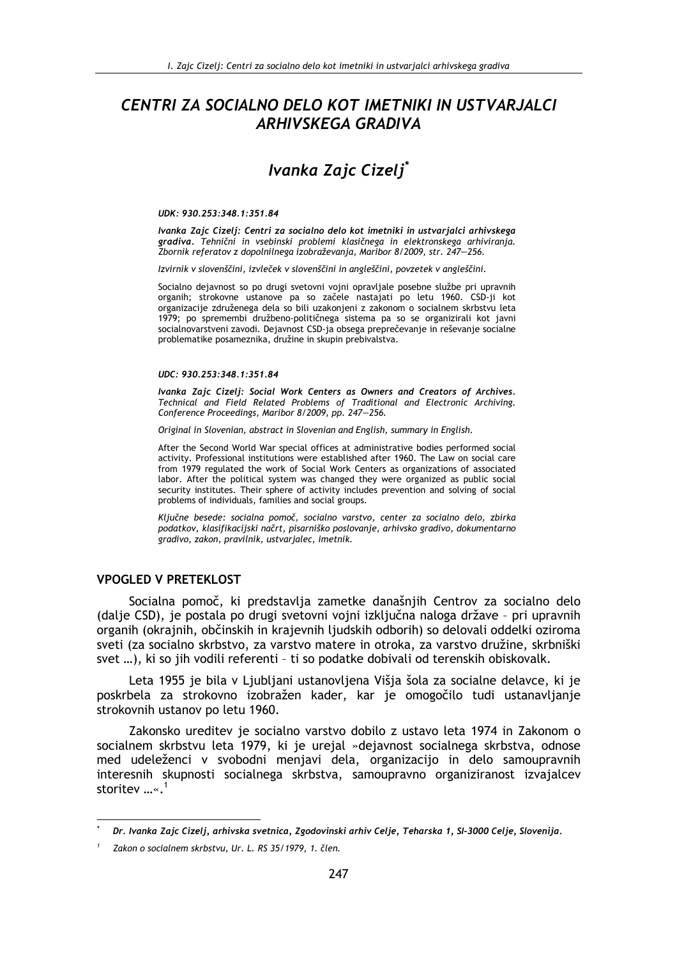# CENTRI ZA SOCIALNO DELO KOT IMETNIKI IN USTVARJALCI **ARHIVSKEGA GRADIVA**

# Ivanka Zaic Cizeli<sup>\*</sup>

#### UDK: 930.253:348.1:351.84

Ivanka Zaic Cizeli: Centri za socialno delo kot imetniki in ustvarialci arhivskega gradiva. Tehnični in vsebinski problemi klasičnega in elektronskega arhiviranja. Zbornik referatov z dopolnilnega izobraževanja, Maribor 8/2009, str. 247–256.

Izvirnik v slovenščini, izvleček v slovenščini in angleščini, povzetek v angleščini.

Socialno dejavnost so po drugi svetovni vojni opravljale posebne službe pri upravnih organih: strokovne ustanove pa so začele nastajati po letu 1960. CSD-ji kot organizacije združenega dela so bili uzakonjeni z zakonom o socialnem skrbstvu leta 1979; po spremembi družbeno-političnega sistema pa so se organizirali kot javni socialnovarstveni zavodi. Dejavnost CSD-ja obsega preprečevanje in reševanje socialne problematike posameznika, družine in skupin prebivalstva.

#### UDC: 930.253:348.1:351.84

Ivanka Zajc Cizelj: Social Work Centers as Owners and Creators of Archives. Technical and Field Related Problems of Traditional and Electronic Archiving. Conference Proceedings, Maribor 8/2009, pp. 247-256.

Original in Slovenian, abstract in Slovenian and English, summary in English.

After the Second World War special offices at administrative bodies performed social activity. Professional institutions were established after 1960. The Law on social care from 1979 regulated the work of Social Work Centers as organizations of associated labor. After the political system was changed they were organized as public social security institutes. Their sphere of activity includes prevention and solving of social problems of individuals, families and social groups.

Ključne besede: socialna pomoč, socialno varstvo, center za socialno delo. zbirka podatkov, klasifikacijski načrt, pisarniško poslovanje, arhivsko gradivo, dokumentarno gradivo, zakon, pravilnik, ustvarjalec, imetnik.

#### **VPOGLED V PRETEKLOST**

Socialna pomoč, ki predstavlja zametke današnjih Centrov za socialno delo (dalje CSD), je postala po drugi svetovni vojni izključna naloga države - pri upravnih organih (okrajnih, občinskih in krajevnih ljudskih odborih) so delovali oddelki oziroma sveti (za socialno skrbstvo, za varstvo matere in otroka, za varstvo družine, skrbniški svet ...), ki so jih vodili referenti - ti so podatke dobivali od terenskih obiskovalk.

Leta 1955 je bila v Ljubljani ustanovljena Višja šola za socialne delavce, ki je poskrbela za strokovno izobražen kader, kar je omogočilo tudi ustanavljanje strokovnih ustanov po letu 1960.

Zakonsko ureditev je socialno varstvo dobilo z ustavo leta 1974 in Zakonom o socialnem skrbstvu leta 1979, ki je urejal »dejavnost socialnega skrbstva, odnose med udeleženci v svobodni menjavi dela, organizacijo in delo samoupravnih interesnih skupnosti socialnega skrbstva, samoupravno organiziranost izvajalcev storitev ...«.<sup>1</sup>

Dr. Ivanka Zajc Cizelj, arhivska svetnica, Zgodovinski arhiv Celje, Teharska 1, SI-3000 Celje, Slovenija.

Zakon o socialnem skrbstvu, Ur. L. RS 35/1979, 1. člen.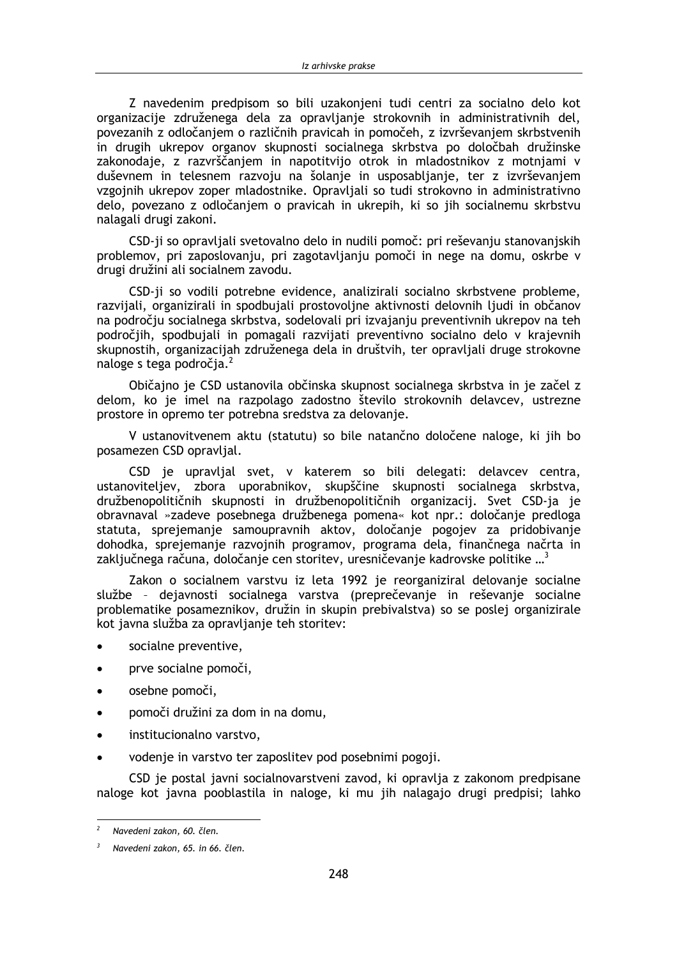Z navedenim predpisom so bili uzakonjeni tudi centri za socialno delo kot organizacije združenega dela za opravljanje strokovnih in administrativnih del, povezanih z odločaniem o različnih pravicah in pomočeh, z izvrševaniem skrbstvenih in drugih ukrepov organov skupnosti socialnega skrbstva po določbah družinske zakonodaje, z razvrščanjem in napotitvijo otrok in mladostnikov z motnjami v duševnem in telesnem razvoju na šolanje in usposabljanje, ter z izvrševanjem vzgojnih ukrepov zoper mladostnike. Opravljali so tudi strokovno in administrativno delo, povezano z odločanjem o pravicah in ukrepih, ki so jih socialnemu skrbstvu nalagali drugi zakoni.

CSD-ji so opravljali svetovalno delo in nudili pomoč: pri reševanju stanovanjskih problemov, pri zaposlovanju, pri zagotavljanju pomoči in nege na domu, oskrbe v drugi družini ali socialnem zavodu.

CSD-ji so vodili potrebne evidence, analizirali socialno skrbstvene probleme, razvijali, organizirali in spodbujali prostovoljne aktivnosti delovnih ljudi in občanov na področju socialnega skrbstva, sodelovali pri izvajanju preventivnih ukrepov na teh področjih, spodbujali in pomagali razvijati preventivno socialno delo v krajevnih skupnostih, organizacijah združenega dela in društvih, ter opravljali druge strokovne naloge s tega področja.<sup>2</sup>

Običajno je CSD ustanovila občinska skupnost socialnega skrbstva in je začel z delom, ko je imel na razpolago zadostno število strokovnih delavcev, ustrezne prostore in opremo ter potrebna sredstva za delovanje.

V ustanovitvenem aktu (statutu) so bile natančno določene naloge, ki jih bo posamezen CSD opravljal.

CSD je upravljal svet, v katerem so bili delegati: delavcev centra, ustanoviteljev, zbora uporabnikov, skupščine skupnosti socialnega skrbstva, družbenopolitičnih skupnosti in družbenopolitičnih organizacij. Svet CSD-ja je obravnaval »zadeve posebnega družbenega pomena« kot npr.: določanje predloga statuta, sprejemanje samoupravnih aktov, določanje pogojev za pridobivanje dohodka, sprejemanje razvojnih programov, programa dela, finančnega načrta in zaključnega računa, določanje cen storitev, uresničevanje kadrovske politike ...<sup>3</sup>

Zakon o socialnem varstvu iz leta 1992 je reorganiziral delovanje socialne službe - dejavnosti socialnega varstva (preprečevanje in reševanje socialne problematike posameznikov, družin in skupin prebivalstva) so se poslej organizirale kot javna služba za opravljanje teh storitev:

- socialne preventive,
- prve socialne pomoči,  $\bullet$
- osebne pomoči,
- pomoči družini za dom in na domu,  $\bullet$
- institucionalno varstvo,
- vodenje in varstvo ter zaposlitev pod posebnimi pogoji.

CSD je postal javni socialnovarstveni zavod, ki opravlja z zakonom predpisane naloge kot javna pooblastila in naloge, ki mu jih nalagajo drugi predpisi; lahko

 $\overline{\phantom{a}}$ Navedeni zakon, 60. člen.

Navedeni zakon, 65. in 66. člen.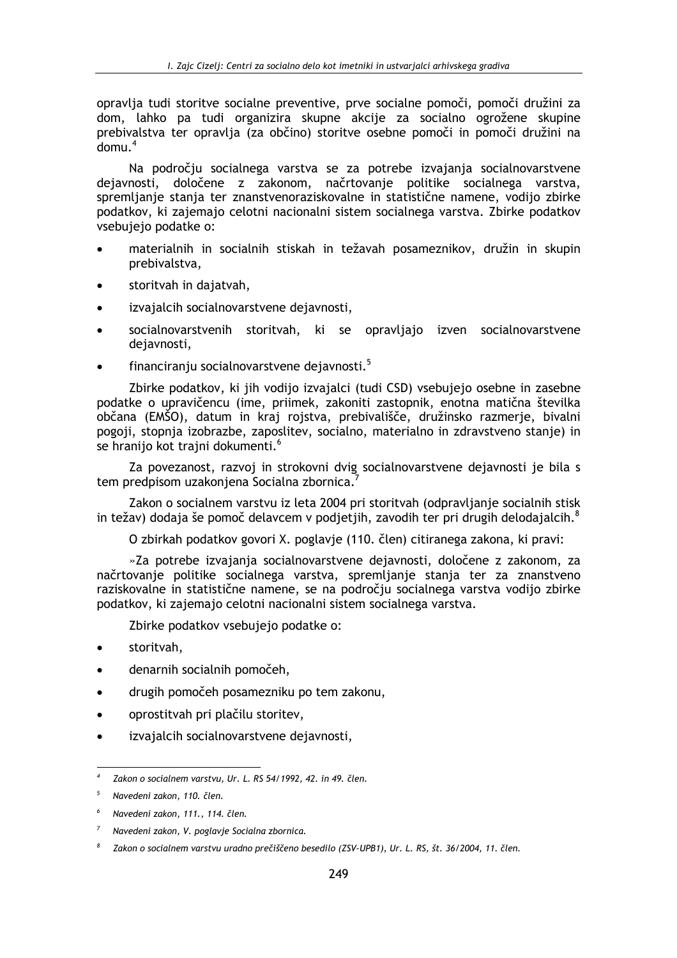opravlja tudi storitve socialne preventive, prve socialne pomoči, pomoči družini za dom, lahko pa tudi organizira skupne akcije za socialno ogrožene skupine prebivalstva ter opravlja (za občino) storitve osebne pomoči in pomoči družini na  $d$ omu<sup>4</sup>

Na področju socialnega varstva se za potrebe izvajanja socialnovarstvene dejavnosti, določene z zakonom, načrtovanje politike socialnega varstva, spremljanje stanja ter znanstvenoraziskovalne in statistične namene, vodijo zbirke podatkov, ki zajemajo celotni nacionalni sistem socialnega varstva. Zbirke podatkov vsebujejo podatke o:

- materialnih in socialnih stiskah in težavah posameznikov, družin in skupin prebivalstva,
- storitvah in dajatvah,  $\bullet$
- izvajalcih socialnovarstvene dejavnosti,
- socialnovarstvenih storitvah, ki se opravljajo izven socialnovarstvene dejavnosti.
- financiranju socialnovarstvene dejavnosti.<sup>5</sup>

Zbirke podatkov, ki jih vodijo izvajalci (tudi CSD) vsebujejo osebne in zasebne podatke o upravičencu (ime, priimek, zakoniti zastopnik, enotna matična številka občana (EMŠO), datum in kraj rojstva, prebivališče, družinsko razmerje, bivalni pogoji, stopnja izobrazbe, zaposlitev, socialno, materialno in zdravstveno stanje) in se hranijo kot trajni dokumenti.<sup>6</sup>

Za povezanost, razvoj in strokovni dvig socialnovarstvene dejavnosti je bila s tem predpisom uzakonjena Socialna zbornica.

Zakon o socialnem varstvu iz leta 2004 pri storitvah (odpravljanje socialnih stisk in težav) dodaja še pomoč delavcem v podjetjih, zavodih ter pri drugih delodajalcih.

O zbirkah podatkov govori X. poglavje (110. člen) citiranega zakona, ki pravi:

»Za potrebe izvajanja socialnovarstvene dejavnosti, določene z zakonom, za načrtovanje politike socialnega varstva, spremljanje stanja ter za znanstveno raziskovalne in statistične namene, se na področju socialnega varstva vodijo zbirke podatkov, ki zajemajo celotni nacionalni sistem socialnega varstva.

Zbirke podatkov vsebujejo podatke o:

- storitvah.
- denarnih socialnih pomočeh.
- drugih pomočeh posamezniku po tem zakonu.
- oprostitvah pri plačilu storitev,  $\blacksquare$
- izvajalcih socialnovarstvene dejavnosti,  $\bullet$

Zakon o socialnem varstvu, Ur. L. RS 54/1992, 42. in 49. člen.

<sup>5</sup> Navedeni zakon, 110. člen.

Navedeni zakon, 111., 114. člen.

Navedeni zakon, V. poglavje Socialna zbornica.

Zakon o socialnem varstvu uradno prečiščeno besedilo (ZSV-UPB1), Ur. L. RS, št. 36/2004, 11. člen.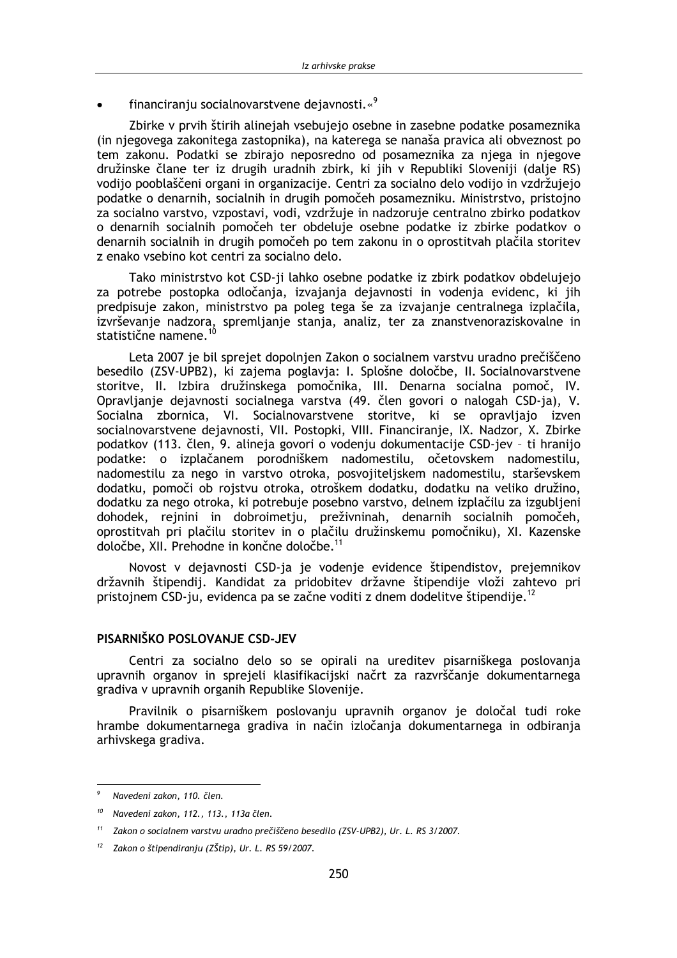financiranju socialnovarstvene dejavnosti.«9

Zbirke v prvih štirih alinejah vsebujejo osebne in zasebne podatke posameznika (in niegovega zakonitega zastopnika), na katerega se nanaša pravica ali obveznost po tem zakonu. Podatki se zbirajo neposredno od posameznika za njega in njegove družinske člane ter iz drugih uradnih zbirk, ki jih v Republiki Sloveniji (dalje RS) vodijo pooblaščeni organi in organizacije. Centri za socialno delo vodijo in vzdržujejo podatke o denarnih, socialnih in drugih pomočeh posamezniku. Ministrstvo, pristojno za socialno varstvo, vzpostavi, vodi, vzdržuje in nadzoruje centralno zbirko podatkov o denarnih socialnih pomočeh ter obdeluje osebne podatke iz zbirke podatkov o denarnih socialnih in drugih pomočeh po tem zakonu in o oprostitvah plačila storitev z enako vsebino kot centri za socialno delo.

Tako ministrstvo kot CSD-ji lahko osebne podatke iz zbirk podatkov obdelujejo za potrebe postopka odločanja, izvajanja dejavnosti in vodenja evidenc, ki jih predpisuje zakon, ministrstvo pa poleg tega še za izvajanje centralnega izplačila, izvrševanje nadzora, spremljanje stanja, analiz, ter za znanstvenoraziskovalne in statistične namene.<sup>10</sup>

Leta 2007 je bil sprejet dopolnjen Zakon o socialnem varstvu uradno prečiščeno besedilo (ZSV-UPB2), ki zajema poglavja: I. Splošne določbe, II. Socialnovarstvene storitve, II. Izbira družinskega pomočnika, III. Denarna socialna pomoč, IV. Opravljanje dejavnosti socialnega varstva (49. člen govori o nalogah CSD-ia), V. Socialna zbornica, VI. Socialnovarstvene storitve, ki se opravljajo izven socialnovarstvene dejavnosti, VII. Postopki, VIII. Financiranje, IX. Nadzor, X. Zbirke podatkov (113. člen, 9. alineja govori o vodenju dokumentacije CSD-jev - ti hranijo podatke: o izplačanem porodniškem nadomestilu, očetovskem nadomestilu, nadomestilu za nego in varstvo otroka, posvojiteljskem nadomestilu, starševskem dodatku, pomoči ob rojstvu otroka, otroškem dodatku, dodatku na veliko družino, dodatku za nego otroka, ki potrebuje posebno varstvo, delnem izplačilu za izgubljeni dohodek, rejnini in dobroimetju, preživninah, denarnih socialnih pomočeh, oprostitvah pri plačilu storitev in o plačilu družinskemu pomočniku). XI. Kazenske določbe, XII. Prehodne in končne določbe.<sup>11</sup>

Novost v dejavnosti CSD-ja je vodenje evidence štipendistov, prejemnikov državnih štipendij. Kandidat za pridobitev državne štipendije vloži zahtevo pri pristojnem CSD-ju, evidenca pa se začne voditi z dnem dodelitve štipendije.<sup>12</sup>

#### PISARNIŠKO POSLOVANJE CSD-JEV

Centri za socialno delo so se opirali na ureditev pisarniškega poslovanja upravnih organov in sprejeli klasifikacijski načrt za razvrščanje dokumentarnega gradiva v upravnih organih Republike Slovenije.

Pravilnik o pisarniškem poslovanju upravnih organov je določal tudi roke hrambe dokumentarnega gradiva in način izločanja dokumentarnega in odbiranja arhivskega gradiva.

<sup>9</sup> Navedeni zakon 110 člen

<sup>&</sup>lt;sup>10</sup> Navedeni zakon, 112., 113., 113a člen.

 $11$ Zakon o socialnem varstvu uradno prečiščeno besedilo (ZSV-UPB2), Ur. L. RS 3/2007.

Zakon o štipendiranju (ZŠtip), Ur. L. RS 59/2007.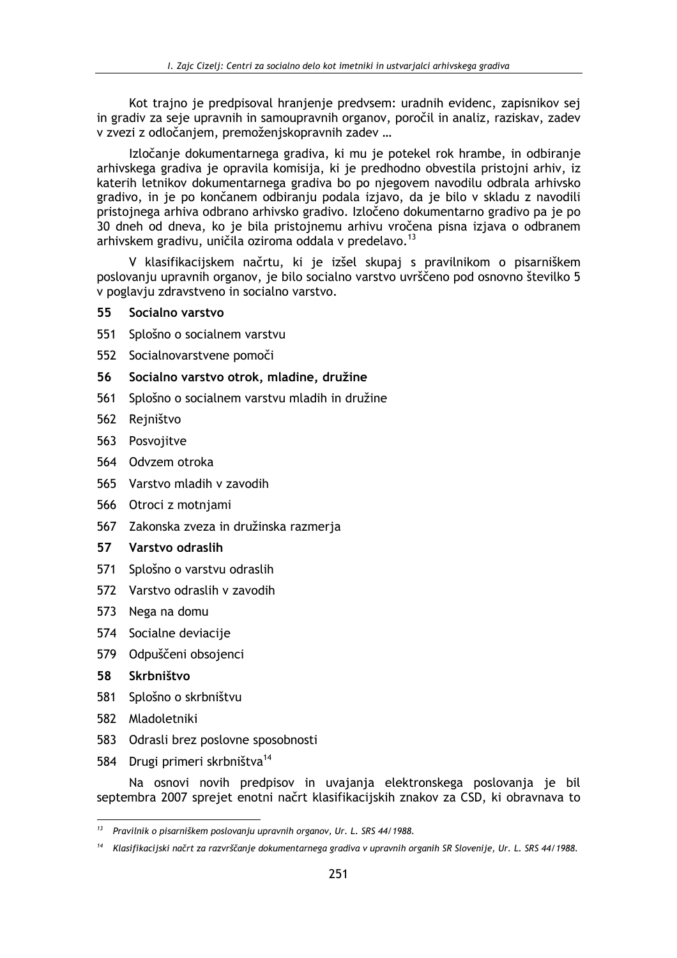Kot trajno je predpisoval hranjenje predvsem: uradnih evidenc, zapisnikov sej in gradiv za seje upravnih in samoupravnih organov, poročil in analiz, raziskav, zadev v zvezi z odločanjem, premoženjskopravnih zadev ...

Izločanje dokumentarnega gradiva, ki mu je potekel rok hrambe, in odbiranje arhivskega gradiva je opravila komisija, ki je predhodno obvestila pristojni arhiv, iz katerih letnikov dokumentarnega gradiva bo po njegovem navodilu odbrala arhivsko gradivo, in je po končanem odbiranju podala izjavo, da je bilo v skladu z navodili pristojnega arhiva odbrano arhivsko gradivo. Izločeno dokumentarno gradivo pa je po 30 dneh od dneva, ko je bila pristojnemu arhivu vročena pisna izjava o odbranem arhivskem gradivu, uničila oziroma oddala v predelavo.<sup>13</sup>

V klasifikacijskem načrtu, ki je izšel skupaj s pravilnikom o pisarniškem poslovanju upravnih organov, je bilo socialno varstvo uvrščeno pod osnovno številko 5 v poglavju zdravstveno in socialno varstvo.

#### 55 Socialno varstvo

- 551 Splošno o socialnem varstvu
- 552 Socialnovarstvene pomoči
- 56 Socialno varstvo otrok, mladine, družine
- 561 Splošno o socialnem varstvu mladih in družine
- 562 Rejništvo
- 563 Posvojitve
- 564 Odvzem otroka
- 565 Varstvo mladih v zavodih
- 566 Otroci z motnjami
- 567 Zakonska zveza in družinska razmerja

#### 57 Varstvo odraslih

- 571 Splošno o varstvu odraslih
- 572 Varstvo odraslih v zavodih
- 573 Nega na domu
- 574 Socialne deviacije
- 579 Odpuščeni obsojenci
- 58 Skrbništvo
- 581 Splošno o skrbništvu
- 582 Mladoletniki
- 583 Odrasli brez poslovne sposobnosti
- 584 Drugi primeri skrbništva<sup>14</sup>

Na osnovi novih predpisov in uvajanja elektronskega poslovanja je bil septembra 2007 sprejet enotni načrt klasifikacijskih znakov za CSD, ki obravnava to

 $13$ Pravilnik o pisarniškem poslovanju upravnih organov, Ur. L. SRS 44/1988.

<sup>&</sup>lt;sup>14</sup> Klasifikacijski načrt za razvrščanje dokumentarnega gradiva v upravnih organih SR Slovenije, Ur. L. SRS 44/1988.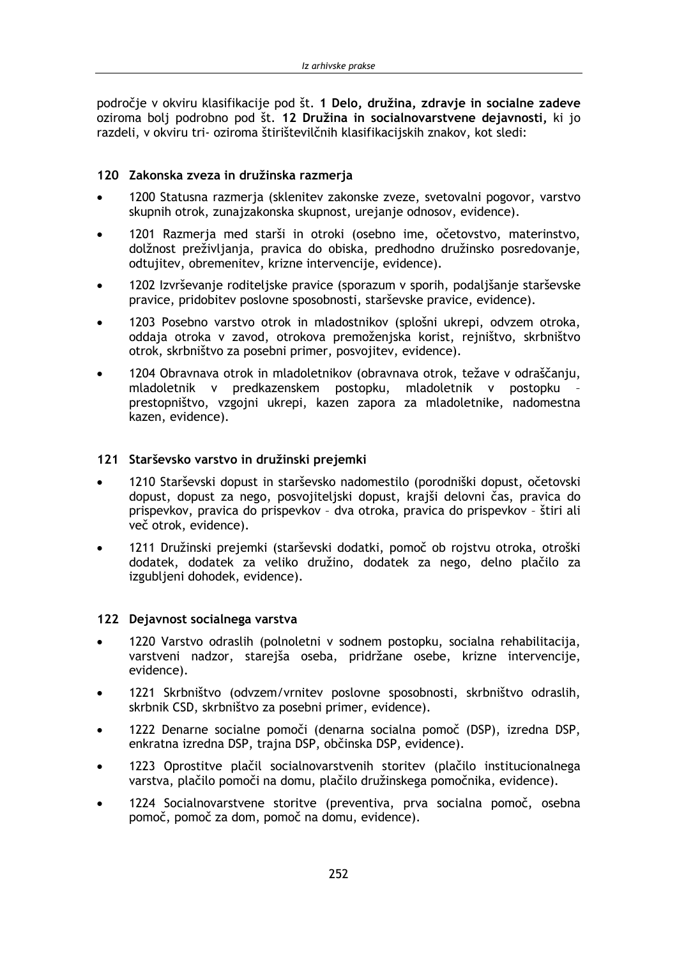področje v okviru klasifikacije pod št. 1 Delo, družina, zdravje in socialne zadeve oziroma boli podrobno pod št. 12 Družina in socialnovarstvene dejavnosti, ki jo razdeli, v okviru tri- oziroma štirištevilčnih klasifikacijskih znakov, kot sledi:

#### 120 Zakonska zveza in družinska razmeria

- 1200 Statusna razmerja (sklenitev zakonske zveze, svetovalni pogovor, varstvo skupnih otrok, zunajzakonska skupnost, urejanje odnosov, evidence).
- 1201 Razmerja med starši in otroki (osebno ime, očetovstvo, materinstvo,  $\bullet$ dolžnost preživljanja, pravica do obiska, predhodno družinsko posredovanje, odtujitev, obremenitev, krizne intervencije, evidence).
- 1202 Izvrševanje roditeljske pravice (sporazum v sporih, podaljšanje starševske  $\bullet$ pravice, pridobitev poslovne sposobnosti, starševske pravice, evidence).
- 1203 Posebno varstvo otrok in mladostnikov (splošni ukrepi, odvzem otroka, oddaja otroka v zavod, otrokova premoženjska korist, rejništvo, skrbništvo otrok, skrbništvo za posebni primer, posvojitev, evidence).
- 1204 Obravnava otrok in mladoletnikov (obravnava otrok, težave v odraščanju, mladoletnik v predkazenskem postopku, mladoletnik v postopku prestopništvo, vzgojni ukrepi, kazen zapora za mladoletnike, nadomestna kazen, evidence).

#### 121 Starševsko varstvo in družinski prejemki

- 1210 Starševski dopust in starševsko nadomestilo (porodniški dopust, očetovski dopust, dopust za nego, posvojiteljski dopust, krajši delovni čas, pravica do prispevkov, pravica do prispevkov - dva otroka, pravica do prispevkov - štiri ali več otrok, evidence).
- 1211 Družinski prejemki (starševski dodatki, pomoč ob rojstvu otroka, otroški  $\bullet$ dodatek, dodatek za veliko družino, dodatek za nego, delno plačilo za izgubljeni dohodek, evidence).

#### 122 Dejavnost socialnega varstva

- 1220 Varstvo odraslih (polnoletni v sodnem postopku, socialna rehabilitacija, varstveni nadzor, starejša oseba, pridržane osebe, krizne intervencije, evidence).
- 1221 Skrbništvo (odvzem/vrnitev poslovne sposobnosti, skrbništvo odraslih, skrbnik CSD, skrbništvo za posebni primer, evidence).
- 1222 Denarne socialne pomoči (denarna socialna pomoč (DSP), izredna DSP, enkratna izredna DSP, trajna DSP, občinska DSP, evidence).
- 1223 Oprostitve plačil socialnovarstvenih storitev (plačilo institucionalnega varstva, plačilo pomoči na domu, plačilo družinskega pomočnika, evidence).
- 1224 Socialnovarstvene storitve (preventiva, prva socialna pomoč, osebna  $\bullet$ pomoč, pomoč za dom, pomoč na domu, evidence).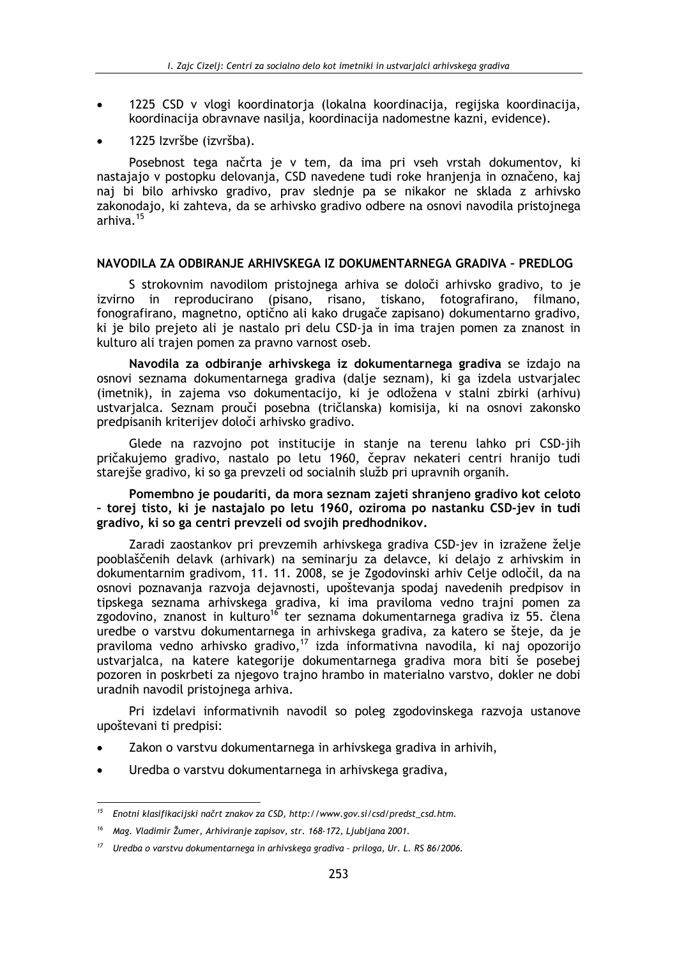- 1225 CSD v vlogi koordinatorja (lokalna koordinacija, regijska koordinacija, koordinacija obravnave nasilja, koordinacija nadomestne kazni, evidence).
- 1225 Izvršbe (izvršba).

Posebnost tega načrta je v tem, da ima pri vseh vrstah dokumentov, ki nastajajo v postopku delovanja, CSD navedene tudi roke hranjenja in označeno, kaj naj bi bilo arhivsko gradivo, prav slednje pa se nikakor ne sklada z arhivsko zakonodajo, ki zahteva, da se arhivsko gradivo odbere na osnovi navodila pristojnega arhiva.<sup>15</sup>

#### NAVODILA ZA ODBIRANJE ARHIVSKEGA IZ DOKUMENTARNEGA GRADIVA - PREDLOG

S strokovnim navodilom pristojnega arhiva se določi arhivsko gradivo, to je izvirno in reproducirano (pisano, risano, tiskano, fotografirano, filmano, fonografirano, magnetno, optično ali kako drugače zapisano) dokumentarno gradivo, ki je bilo prejeto ali je nastalo pri delu CSD-ja in ima trajen pomen za znanost in kulturo ali trajen pomen za pravno varnost oseb.

Navodila za odbiranje arhivskega iz dokumentarnega gradiva se izdajo na osnovi seznama dokumentarnega gradiva (dalje seznam), ki ga izdela ustvarjalec (imetnik), in zajema vso dokumentacijo, ki je odložena v stalni zbirki (arhivu) ustvarialca. Seznam prouči posebna (tričlanska) komisija, ki na osnovi zakonsko predpisanih kriterijev določi arhivsko gradivo.

Glede na razvojno pot institucije in stanje na terenu lahko pri CSD-jih pričakujemo gradivo, nastalo po letu 1960, čeprav nekateri centri hranijo tudi starejše gradivo, ki so ga prevzeli od socialnih služb pri upravnih organih.

Pomembno je poudariti, da mora seznam zajeti shranjeno gradivo kot celoto - torej tisto, ki je nastajalo po letu 1960, oziroma po nastanku CSD-jev in tudi gradivo, ki so ga centri prevzeli od svojih predhodnikov.

Zaradi zaostankov pri prevzemih arhivskega gradiva CSD-jev in izražene želje pooblaščenih delavk (arhivark) na seminarju za delavce, ki delajo z arhivskim in dokumentarnim gradivom, 11, 11, 2008, se je Zgodovinski arhiv Celje odločil, da na osnovi poznavanja razvoja dejavnosti, upoštevanja spodaj navedenih predpisov in tipskega seznama arhivskega gradiva, ki ima praviloma vedno trajni pomen za zgodovino, znanost in kulturo<sup>16</sup> ter seznama dokumentarnega gradiva iz 55. člena uredbe o varstvu dokumentarnega in arhivskega gradiva, za katero se šteje, da je praviloma vedno arhivsko gradivo,<sup>17</sup> izda informativna navodila, ki naj opozorijo ustvarjalca, na katere kategorije dokumentarnega gradiva mora biti še posebej pozoren in poskrbeti za njegovo trajno hrambo in materialno varstvo, dokler ne dobi uradnih navodil pristojnega arhiva.

Pri izdelavi informativnih navodil so poleg zgodovinskega razvoja ustanove upoštevani ti predpisi:

- Zakon o varstvu dokumentarnega in arhivskega gradiva in arhivih,
- Uredba o varstvu dokumentarnega in arhivskega gradiva,

<sup>&</sup>lt;sup>15</sup> Enotni klasifikacijski načrt znakov za CSD, http://www.gov.si/csd/predst\_csd.htm.

<sup>16</sup> Mag. Vladimir Žumer, Arhiviranje zapisov, str. 168-172, Ljubljana 2001.

<sup>&</sup>lt;sup>17</sup> Uredba o varstvu dokumentarnega in arhivskega gradiva - priloga, Ur. L. RS 86/2006.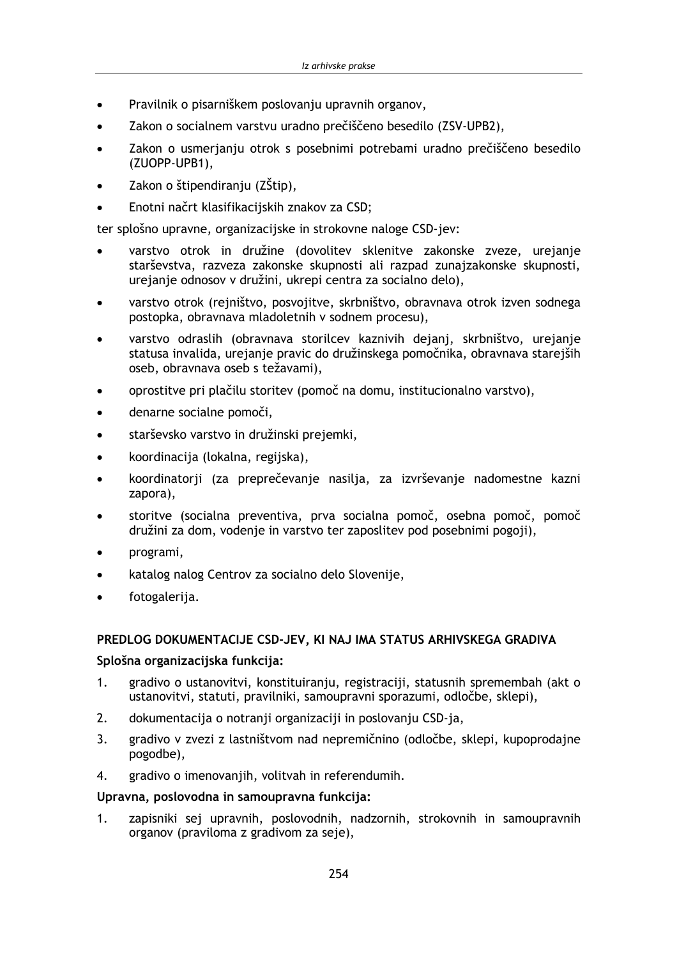- Pravilnik o pisarniškem poslovanju upravnih organov,
- Zakon o socialnem varstvu uradno prečiščeno besedilo (ZSV-UPB2),  $\bullet$
- Zakon o usmerjanju otrok s posebnimi potrebami uradno prečiščeno besedilo  $\blacksquare$ (ZUOPP-UPB1),
- Zakon o štipendiraniu (ZŠtip),
- Enotni načrt klasifikacijskih znakov za CSD;

ter splošno upravne, organizacijske in strokovne naloge CSD-jev:

- varstvo otrok in družine (dovolitev sklenitve zakonske zveze, urejanje starševstva, razveza zakonske skupnosti ali razpad zunajzakonske skupnosti, urejanje odnosov v družini, ukrepi centra za socialno delo),
- varstvo otrok (rejništvo, posvojitve, skrbništvo, obravnava otrok izven sodnega postopka, obravnava mladoletnih v sodnem procesu),
- varstvo odraslih (obravnava storilcev kaznivih dejanj, skrbništvo, urejanje statusa invalida, urejanje pravic do družinskega pomočnika, obravnava starejših oseb, obravnava oseb s težavami),
- oprostitve pri plačilu storitev (pomoč na domu, institucionalno varstvo),
- denarne socialne pomoči,
- starševsko varstvo in družinski prejemki,
- koordinacija (lokalna, regijska),
- koordinatorji (za preprečevanje nasilja, za izvrševanje nadomestne kazni zapora),
- storitve (socialna preventiva, prva socialna pomoč, osebna pomoč, pomoč družini za dom, vodenje in varstvo ter zaposlitev pod posebnimi pogoji),
- programi,
- katalog nalog Centrov za socialno delo Slovenije,
- fotogalerija.  $\bullet$

#### PREDLOG DOKUMENTACIJE CSD-JEV, KI NAJ IMA STATUS ARHIVSKEGA GRADIVA

#### Splošna organizacijska funkcija:

- $1<sup>1</sup>$ gradivo o ustanovitvi, konstituiranju, registraciji, statusnih spremembah (akt o ustanovitvi, statuti, pravilniki, samoupravni sporazumi, odločbe, sklepi),
- $2.$ dokumentacija o notranji organizaciji in poslovanju CSD-ja,
- $3.$ gradivo v zvezi z lastništvom nad nepremičnino (odločbe, sklepi, kupoprodajne pogodbe),
- 4. gradivo o imenovanjih, volitvah in referendumih.

#### Upravna, poslovodna in samoupravna funkcija:

zapisniki sej upravnih, poslovodnih, nadzornih, strokovnih in samoupravnih  $1<sup>1</sup>$ organov (praviloma z gradivom za seje).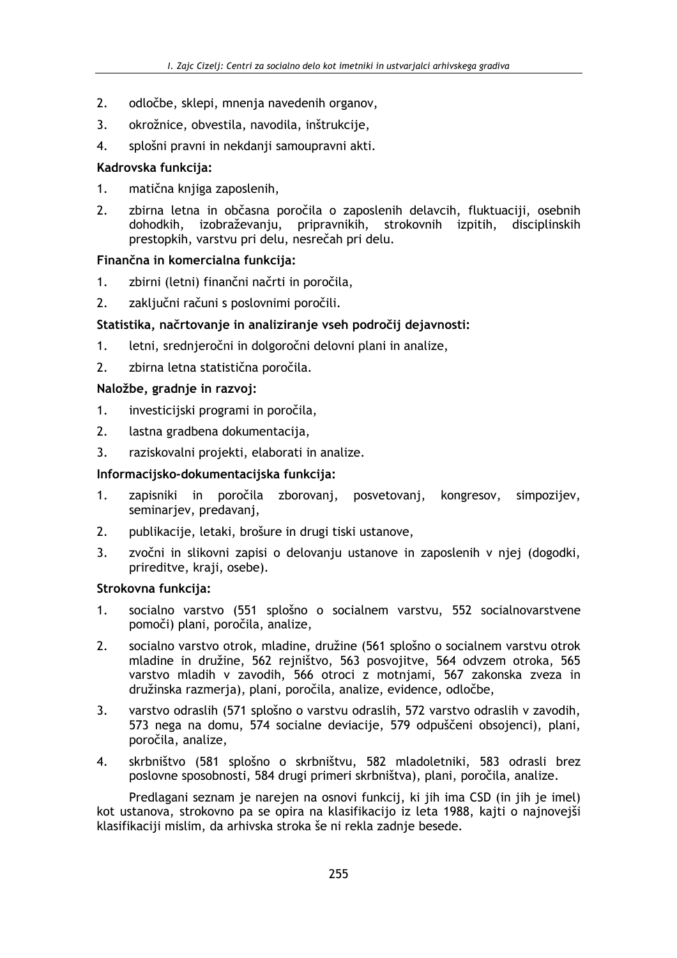- $2<sub>1</sub>$ odločbe, sklepi, mnenja navedenih organov,
- $\overline{3}$ . okrožnice, obvestila, navodila, inštrukcije,
- $\overline{4}$ . splošni pravni in nekdanji samoupravni akti.

### Kadrovska funkcija:

- $1<sub>1</sub>$ matična knijga zaposlenih.
- $2.$ zbirna letna in občasna poročila o zaposlenih delavcih, fluktuaciji, osebnih dohodkih, izobraževanju, pripravnikih, strokovnih izpitih, disciplinskih prestopkih, varstvu pri delu, nesrečah pri delu.

# Finančna in komercialna funkcija:

- $1<sub>1</sub>$ zbirni (letni) finančni načrti in poročila,
- 2. zaključni računi s poslovnimi poročili.

# Statistika, načrtovanje in analiziranje vseh področij dejavnosti:

- letni, srednjeročni in dolgoročni delovni plani in analize,  $1.$
- $2.$ zbirna letna statistična poročila.

# Naložbe, gradnje in razvoj:

- investicijski programi in poročila,  $1.$
- $2<sub>1</sub>$ lastna gradbena dokumentacija,
- 3. raziskovalni projekti, elaborati in analize.

### Informacijsko-dokumentacijska funkcija:

- zapisniki in poročila zborovani, posvetovani, kongresov, simpozijev,  $1<sup>1</sup>$ seminarjev, predavanj,
- $2<sub>1</sub>$ publikacije, letaki, brošure in drugi tiski ustanove,
- $3<sub>1</sub>$ zvočni in slikovni zapisi o delovanju ustanove in zaposlenih v njej (dogodki, prireditve, kraji, osebe).

### Strokovna funkcija:

- $1<sub>1</sub>$ socialno varstvo (551 splošno o socialnem varstvu, 552 socialnovarstvene pomoči) plani, poročila, analize,
- $\overline{2}$ socialno varstvo otrok, mladine, družine (561 splošno o socialnem varstvu otrok mladine in družine, 562 rejništvo, 563 posvojitve, 564 odvzem otroka, 565 varstvo mladih v zavodih, 566 otroci z motnjami, 567 zakonska zveza in družinska razmerja), plani, poročila, analize, evidence, odločbe,
- varstvo odraslih (571 splošno o varstvu odraslih, 572 varstvo odraslih v zavodih,  $3<sub>1</sub>$ 573 nega na domu, 574 socialne deviacije, 579 odpuščeni obsojenci), plani, poročila, analize,
- skrbništvo (581 splošno o skrbništvu, 582 mladoletniki, 583 odrasli brez 4. poslovne sposobnosti, 584 drugi primeri skrbništva), plani, poročila, analize.

Predlagani seznam je narejen na osnovi funkcij, ki jih ima CSD (in jih je imel) kot ustanova, strokovno pa se opira na klasifikacijo iz leta 1988, kajti o najnovejši klasifikaciji mislim, da arhivska stroka še ni rekla zadnje besede.